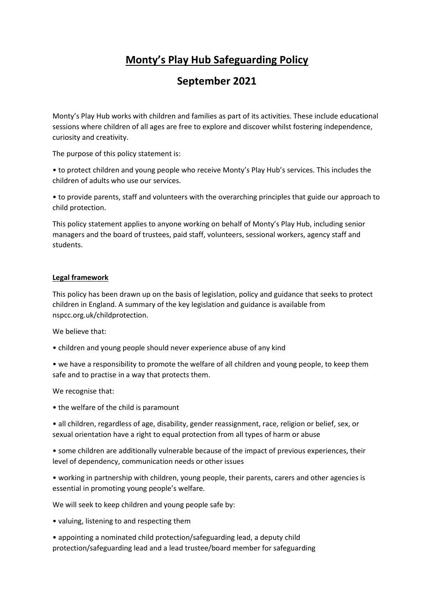## **Monty's Play Hub Safeguarding Policy**

## **September 2021**

Monty's Play Hub works with children and families as part of its activities. These include educational sessions where children of all ages are free to explore and discover whilst fostering independence, curiosity and creativity.

The purpose of this policy statement is:

• to protect children and young people who receive Monty's Play Hub's services. This includes the children of adults who use our services.

• to provide parents, staff and volunteers with the overarching principles that guide our approach to child protection.

This policy statement applies to anyone working on behalf of Monty's Play Hub, including senior managers and the board of trustees, paid staff, volunteers, sessional workers, agency staff and students.

## **Legal framework**

This policy has been drawn up on the basis of legislation, policy and guidance that seeks to protect children in England. A summary of the key legislation and guidance is available from nspcc.org.uk/childprotection.

We believe that:

- children and young people should never experience abuse of any kind
- we have a responsibility to promote the welfare of all children and young people, to keep them safe and to practise in a way that protects them.

We recognise that:

• the welfare of the child is paramount

• all children, regardless of age, disability, gender reassignment, race, religion or belief, sex, or sexual orientation have a right to equal protection from all types of harm or abuse

• some children are additionally vulnerable because of the impact of previous experiences, their level of dependency, communication needs or other issues

• working in partnership with children, young people, their parents, carers and other agencies is essential in promoting young people's welfare.

We will seek to keep children and young people safe by:

• valuing, listening to and respecting them

• appointing a nominated child protection/safeguarding lead, a deputy child protection/safeguarding lead and a lead trustee/board member for safeguarding